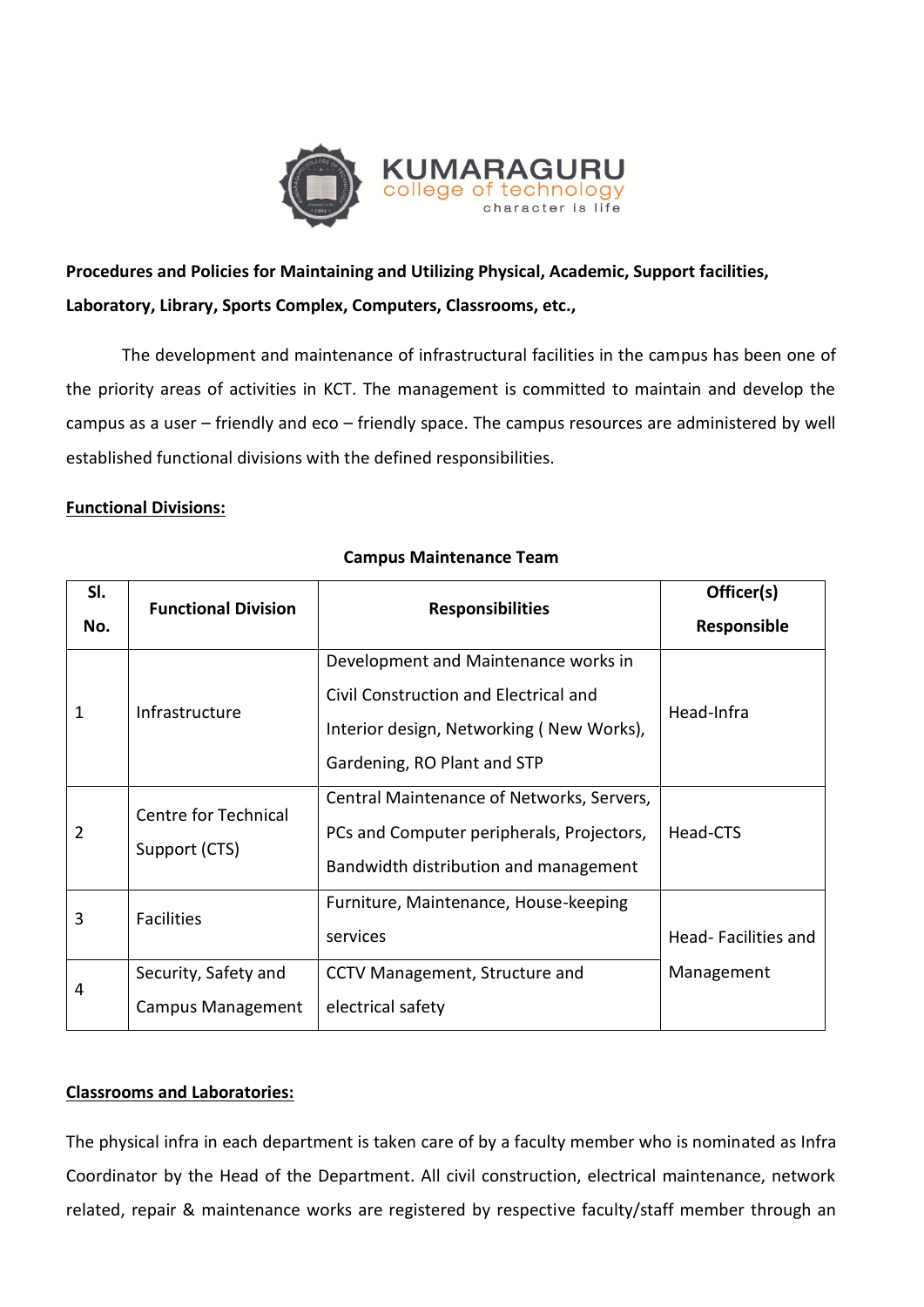

# **Procedures and Policies for Maintaining and Utilizing Physical, Academic, Support facilities, Laboratory, Library, Sports Complex, Computers, Classrooms, etc.,**

The development and maintenance of infrastructural facilities in the campus has been one of the priority areas of activities in KCT. The management is committed to maintain and develop the campus as a user – friendly and eco – friendly space. The campus resources are administered by well established functional divisions with the defined responsibilities.

## **Functional Divisions:**

| SI. | <b>Functional Division</b>            | <b>Responsibilities</b>                   | Officer(s)          |
|-----|---------------------------------------|-------------------------------------------|---------------------|
| No. |                                       |                                           | Responsible         |
| 1   | Infrastructure                        | Development and Maintenance works in      |                     |
|     |                                       | Civil Construction and Electrical and     | Head-Infra          |
|     |                                       | Interior design, Networking (New Works),  |                     |
|     |                                       | Gardening, RO Plant and STP               |                     |
| 2   | Centre for Technical<br>Support (CTS) | Central Maintenance of Networks, Servers, |                     |
|     |                                       | PCs and Computer peripherals, Projectors, | Head-CTS            |
|     |                                       | Bandwidth distribution and management     |                     |
| 3   | <b>Facilities</b>                     | Furniture, Maintenance, House-keeping     |                     |
|     |                                       | services                                  | Head-Facilities and |
| 4   | Security, Safety and                  | CCTV Management, Structure and            | Management          |
|     | <b>Campus Management</b>              | electrical safety                         |                     |

# **Campus Maintenance Team**

# **Classrooms and Laboratories:**

The physical infra in each department is taken care of by a faculty member who is nominated as Infra Coordinator by the Head of the Department. All civil construction, electrical maintenance, network related, repair & maintenance works are registered by respective faculty/staff member through an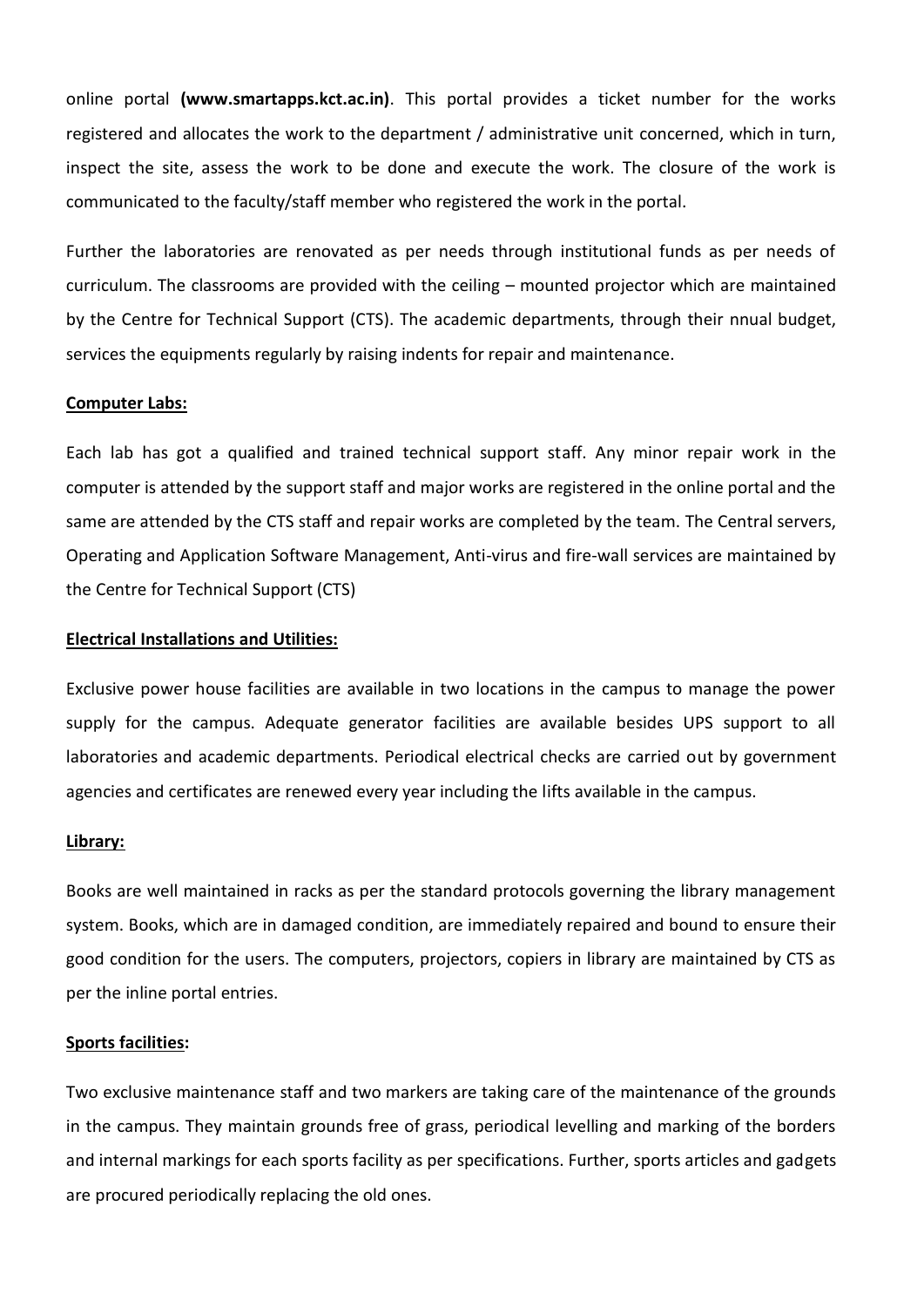online portal **(www.smartapps.kct.ac.in)**. This portal provides a ticket number for the works registered and allocates the work to the department / administrative unit concerned, which in turn, inspect the site, assess the work to be done and execute the work. The closure of the work is communicated to the faculty/staff member who registered the work in the portal.

Further the laboratories are renovated as per needs through institutional funds as per needs of curriculum. The classrooms are provided with the ceiling – mounted projector which are maintained by the Centre for Technical Support (CTS). The academic departments, through their nnual budget, services the equipments regularly by raising indents for repair and maintenance.

#### **Computer Labs:**

Each lab has got a qualified and trained technical support staff. Any minor repair work in the computer is attended by the support staff and major works are registered in the online portal and the same are attended by the CTS staff and repair works are completed by the team. The Central servers, Operating and Application Software Management, Anti-virus and fire-wall services are maintained by the Centre for Technical Support (CTS)

#### **Electrical Installations and Utilities:**

Exclusive power house facilities are available in two locations in the campus to manage the power supply for the campus. Adequate generator facilities are available besides UPS support to all laboratories and academic departments. Periodical electrical checks are carried out by government agencies and certificates are renewed every year including the lifts available in the campus.

### **Library:**

Books are well maintained in racks as per the standard protocols governing the library management system. Books, which are in damaged condition, are immediately repaired and bound to ensure their good condition for the users. The computers, projectors, copiers in library are maintained by CTS as per the inline portal entries.

#### **Sports facilities:**

Two exclusive maintenance staff and two markers are taking care of the maintenance of the grounds in the campus. They maintain grounds free of grass, periodical levelling and marking of the borders and internal markings for each sports facility as per specifications. Further, sports articles and gadgets are procured periodically replacing the old ones.